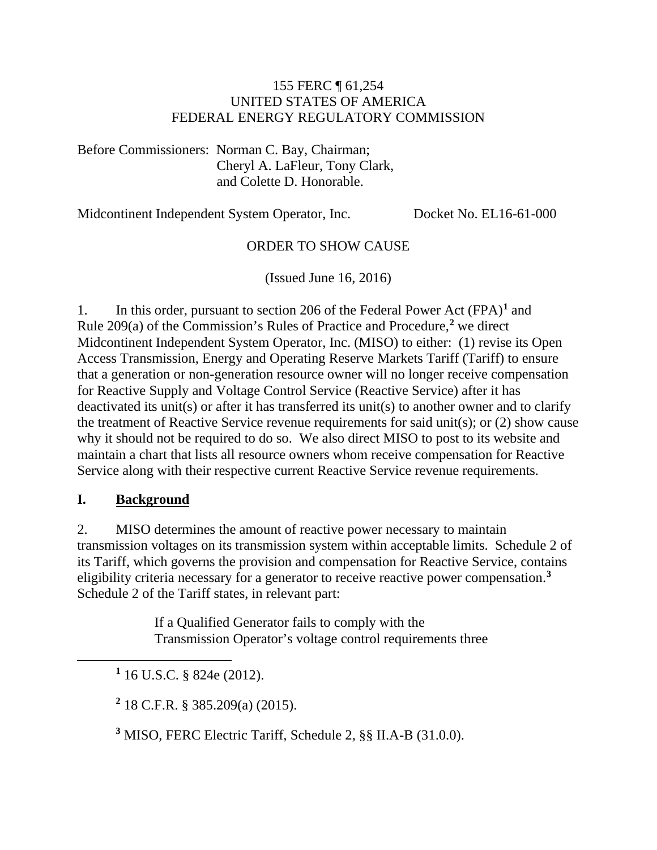#### 155 FERC ¶ 61,254 UNITED STATES OF AMERICA FEDERAL ENERGY REGULATORY COMMISSION

Before Commissioners: Norman C. Bay, Chairman; Cheryl A. LaFleur, Tony Clark, and Colette D. Honorable.

Midcontinent Independent System Operator, Inc. Docket No. EL16-61-000

### ORDER TO SHOW CAUSE

(Issued June 16, 2016)

1. In this order, pursuant to section 206 of the Federal Power Act (FPA)**[1](#page-0-0)** and Rule 209(a) of the Commission's Rules of Practice and Procedure,**[2](#page-0-1)** we direct Midcontinent Independent System Operator, Inc. (MISO) to either: (1) revise its Open Access Transmission, Energy and Operating Reserve Markets Tariff (Tariff) to ensure that a generation or non-generation resource owner will no longer receive compensation for Reactive Supply and Voltage Control Service (Reactive Service) after it has deactivated its unit(s) or after it has transferred its unit(s) to another owner and to clarify the treatment of Reactive Service revenue requirements for said unit(s); or (2) show cause why it should not be required to do so. We also direct MISO to post to its website and maintain a chart that lists all resource owners whom receive compensation for Reactive Service along with their respective current Reactive Service revenue requirements.

### **I. Background**

<span id="page-0-2"></span><span id="page-0-1"></span><span id="page-0-0"></span> $\overline{a}$ 

2. MISO determines the amount of reactive power necessary to maintain transmission voltages on its transmission system within acceptable limits. Schedule 2 of its Tariff, which governs the provision and compensation for Reactive Service, contains eligibility criteria necessary for a generator to receive reactive power compensation. **[3](#page-0-2)** Schedule 2 of the Tariff states, in relevant part:

> If a Qualified Generator fails to comply with the Transmission Operator's voltage control requirements three

**<sup>1</sup>** 16 U.S.C. § 824e (2012).

**<sup>2</sup>** 18 C.F.R. § 385.209(a) (2015).

**<sup>3</sup>** MISO, FERC Electric Tariff, Schedule 2, §§ II.A-B (31.0.0).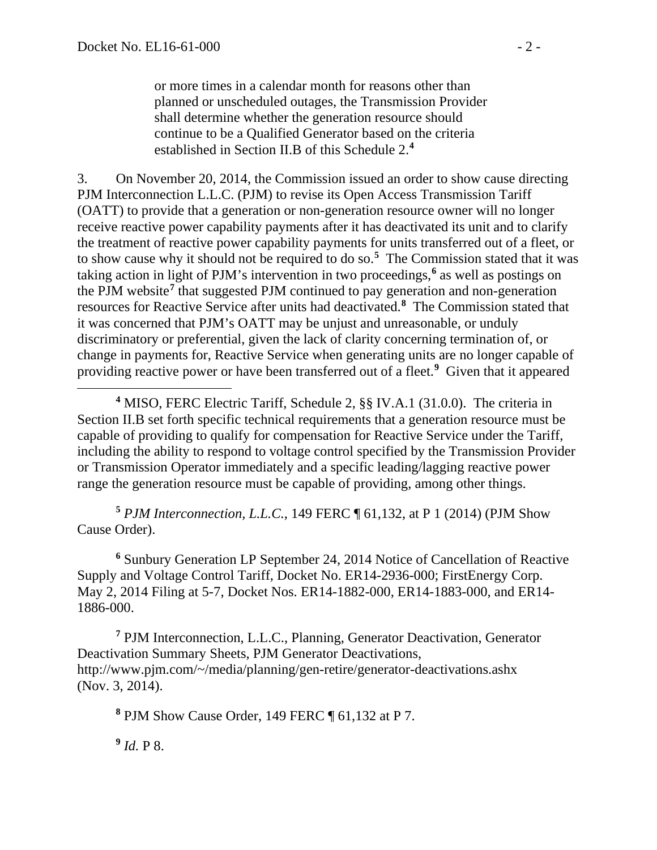or more times in a calendar month for reasons other than planned or unscheduled outages, the Transmission Provider shall determine whether the generation resource should continue to be a Qualified Generator based on the criteria established in Section II.B of this Schedule 2.**[4](#page-1-0)**

3. On November 20, 2014, the Commission issued an order to show cause directing PJM Interconnection L.L.C. (PJM) to revise its Open Access Transmission Tariff (OATT) to provide that a generation or non-generation resource owner will no longer receive reactive power capability payments after it has deactivated its unit and to clarify the treatment of reactive power capability payments for units transferred out of a fleet, or to show cause why it should not be required to do so.**[5](#page-1-1)** The Commission stated that it was taking action in light of PJM's intervention in two proceedings, **[6](#page-1-2)** as well as postings on the PJM website**[7](#page-1-3)** that suggested PJM continued to pay generation and non-generation resources for Reactive Service after units had deactivated.**[8](#page-1-4)** The Commission stated that it was concerned that PJM's OATT may be unjust and unreasonable, or unduly discriminatory or preferential, given the lack of clarity concerning termination of, or change in payments for, Reactive Service when generating units are no longer capable of providing reactive power or have been transferred out of a fleet.**[9](#page-1-5)** Given that it appeared

<span id="page-1-0"></span>**<sup>4</sup>** MISO, FERC Electric Tariff, Schedule 2, §§ IV.A.1 (31.0.0). The criteria in Section II.B set forth specific technical requirements that a generation resource must be capable of providing to qualify for compensation for Reactive Service under the Tariff, including the ability to respond to voltage control specified by the Transmission Provider or Transmission Operator immediately and a specific leading/lagging reactive power range the generation resource must be capable of providing, among other things.

<span id="page-1-1"></span>**<sup>5</sup>** *PJM Interconnection, L.L.C.*, 149 FERC ¶ 61,132, at P 1 (2014) (PJM Show Cause Order).

<span id="page-1-2"></span>**<sup>6</sup>** Sunbury Generation LP September 24, 2014 Notice of Cancellation of Reactive Supply and Voltage Control Tariff, Docket No. ER14-2936-000; FirstEnergy Corp. May 2, 2014 Filing at 5-7, Docket Nos. ER14-1882-000, ER14-1883-000, and ER14- 1886-000.

<span id="page-1-4"></span><span id="page-1-3"></span>**<sup>7</sup>** PJM Interconnection, L.L.C., Planning, Generator Deactivation, Generator Deactivation Summary Sheets, PJM Generator Deactivations, http://www.pjm.com/~/media/planning/gen-retire/generator-deactivations.ashx (Nov. 3, 2014).

**<sup>8</sup>** PJM Show Cause Order, 149 FERC ¶ 61,132 at P 7.

<span id="page-1-5"></span> $9$  *Id.* P 8.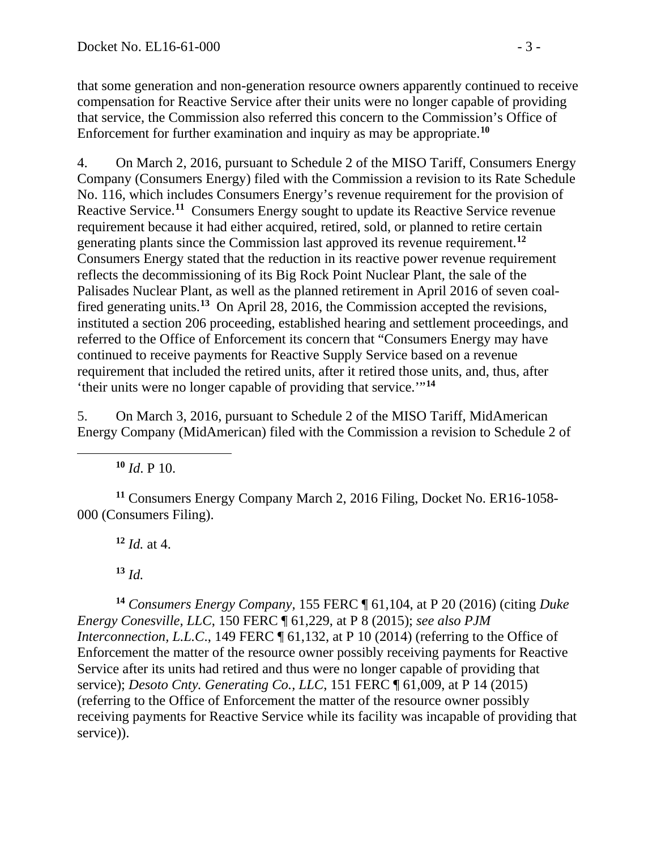that some generation and non-generation resource owners apparently continued to receive compensation for Reactive Service after their units were no longer capable of providing that service, the Commission also referred this concern to the Commission's Office of Enforcement for further examination and inquiry as may be appropriate.**[10](#page-2-0)**

4. On March 2, 2016, pursuant to Schedule 2 of the MISO Tariff, Consumers Energy Company (Consumers Energy) filed with the Commission a revision to its Rate Schedule No. 116, which includes Consumers Energy's revenue requirement for the provision of Reactive Service.**[11](#page-2-1)** Consumers Energy sought to update its Reactive Service revenue requirement because it had either acquired, retired, sold, or planned to retire certain generating plants since the Commission last approved its revenue requirement.**[12](#page-2-2)** Consumers Energy stated that the reduction in its reactive power revenue requirement reflects the decommissioning of its Big Rock Point Nuclear Plant, the sale of the Palisades Nuclear Plant, as well as the planned retirement in April 2016 of seven coalfired generating units.**[13](#page-2-3)** On April 28, 2016, the Commission accepted the revisions, instituted a section 206 proceeding, established hearing and settlement proceedings, and referred to the Office of Enforcement its concern that "Consumers Energy may have continued to receive payments for Reactive Supply Service based on a revenue requirement that included the retired units, after it retired those units, and, thus, after 'their units were no longer capable of providing that service.'"**[14](#page-2-4)**

5. On March 3, 2016, pursuant to Schedule 2 of the MISO Tariff, MidAmerican Energy Company (MidAmerican) filed with the Commission a revision to Schedule 2 of

 $10$  *Id.* P 10.

<span id="page-2-0"></span> $\overline{a}$ 

<span id="page-2-2"></span><span id="page-2-1"></span>**<sup>11</sup>** Consumers Energy Company March 2, 2016 Filing, Docket No. ER16-1058- 000 (Consumers Filing).

 $12$  *Id.* at 4.

**<sup>13</sup>** *Id.*

<span id="page-2-4"></span><span id="page-2-3"></span>**<sup>14</sup>** *Consumers Energy Company,* 155 FERC ¶ 61,104, at P 20 (2016) (citing *Duke Energy Conesville, LLC*, 150 FERC ¶ 61,229, at P 8 (2015); *see also PJM Interconnection, L.L.C.*, 149 FERC  $\P$  61,132, at P 10 (2014) (referring to the Office of Enforcement the matter of the resource owner possibly receiving payments for Reactive Service after its units had retired and thus were no longer capable of providing that service); *Desoto Cnty. Generating Co., LLC*, 151 FERC ¶ 61,009, at P 14 (2015) (referring to the Office of Enforcement the matter of the resource owner possibly receiving payments for Reactive Service while its facility was incapable of providing that service)).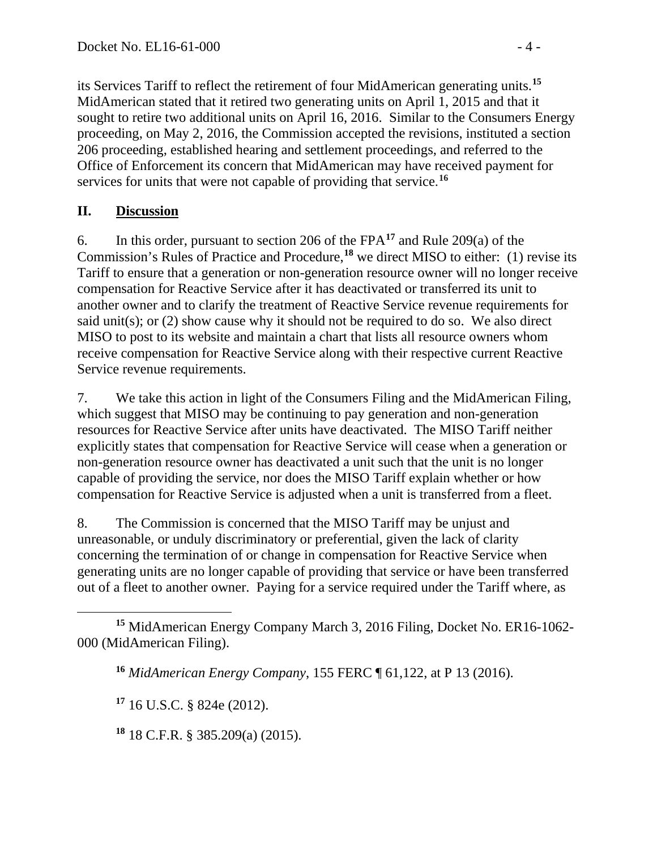its Services Tariff to reflect the retirement of four MidAmerican generating units.**[15](#page-3-0)** MidAmerican stated that it retired two generating units on April 1, 2015 and that it sought to retire two additional units on April 16, 2016. Similar to the Consumers Energy proceeding, on May 2, 2016, the Commission accepted the revisions, instituted a section 206 proceeding, established hearing and settlement proceedings, and referred to the Office of Enforcement its concern that MidAmerican may have received payment for services for units that were not capable of providing that service. **[16](#page-3-1)**

# **II. Discussion**

6. In this order, pursuant to section 206 of the FPA**[17](#page-3-2)** and Rule 209(a) of the Commission's Rules of Practice and Procedure,**[18](#page-3-3)** we direct MISO to either: (1) revise its Tariff to ensure that a generation or non-generation resource owner will no longer receive compensation for Reactive Service after it has deactivated or transferred its unit to another owner and to clarify the treatment of Reactive Service revenue requirements for said unit(s); or (2) show cause why it should not be required to do so. We also direct MISO to post to its website and maintain a chart that lists all resource owners whom receive compensation for Reactive Service along with their respective current Reactive Service revenue requirements.

7. We take this action in light of the Consumers Filing and the MidAmerican Filing, which suggest that MISO may be continuing to pay generation and non-generation resources for Reactive Service after units have deactivated. The MISO Tariff neither explicitly states that compensation for Reactive Service will cease when a generation or non-generation resource owner has deactivated a unit such that the unit is no longer capable of providing the service, nor does the MISO Tariff explain whether or how compensation for Reactive Service is adjusted when a unit is transferred from a fleet.

8. The Commission is concerned that the MISO Tariff may be unjust and unreasonable, or unduly discriminatory or preferential, given the lack of clarity concerning the termination of or change in compensation for Reactive Service when generating units are no longer capable of providing that service or have been transferred out of a fleet to another owner. Paying for a service required under the Tariff where, as

<span id="page-3-2"></span>**<sup>17</sup>** 16 U.S.C. § 824e (2012).

<span id="page-3-3"></span>**<sup>18</sup>** 18 C.F.R. § 385.209(a) (2015).

<span id="page-3-1"></span><span id="page-3-0"></span> $\overline{a}$ **<sup>15</sup>** MidAmerican Energy Company March 3, 2016 Filing, Docket No. ER16-1062- 000 (MidAmerican Filing).

**<sup>16</sup>** *MidAmerican Energy Company*, 155 FERC ¶ 61,122, at P 13 (2016).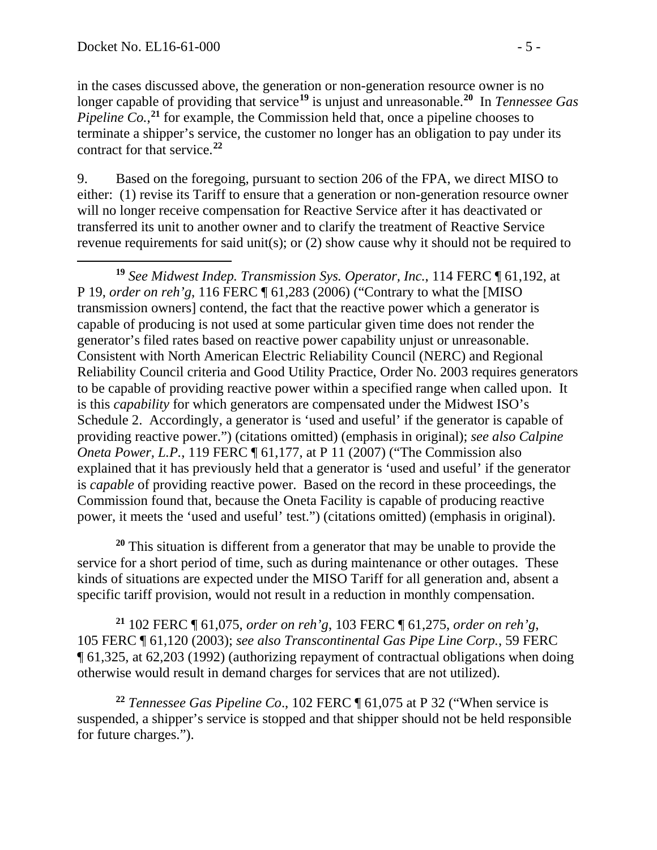in the cases discussed above, the generation or non-generation resource owner is no longer capable of providing that service**[19](#page-4-0)** is unjust and unreasonable.**[20](#page-4-1)** In *Tennessee Gas Pipeline Co.*<sup>[21](#page-4-2)</sup> for example, the Commission held that, once a pipeline chooses to terminate a shipper's service, the customer no longer has an obligation to pay under its contract for that service.**[22](#page-4-3)**

9. Based on the foregoing, pursuant to section 206 of the FPA, we direct MISO to either: (1) revise its Tariff to ensure that a generation or non-generation resource owner will no longer receive compensation for Reactive Service after it has deactivated or transferred its unit to another owner and to clarify the treatment of Reactive Service revenue requirements for said unit(s); or (2) show cause why it should not be required to

<span id="page-4-0"></span> $\overline{a}$ **<sup>19</sup>** *See Midwest Indep. Transmission Sys. Operator, Inc.*, 114 FERC ¶ 61,192, at P 19, *order on reh'g*, 116 FERC ¶ 61,283 (2006) ("Contrary to what the [MISO transmission owners] contend, the fact that the reactive power which a generator is capable of producing is not used at some particular given time does not render the generator's filed rates based on reactive power capability unjust or unreasonable. Consistent with North American Electric Reliability Council (NERC) and Regional Reliability Council criteria and Good Utility Practice, Order No. 2003 requires generators to be capable of providing reactive power within a specified range when called upon. It is this *capability* for which generators are compensated under the Midwest ISO's Schedule 2. Accordingly, a generator is 'used and useful' if the generator is capable of providing reactive power.") (citations omitted) (emphasis in original); *see also Calpine Oneta Power, L.P.*, 119 FERC ¶ 61,177, at P 11 (2007) ("The Commission also explained that it has previously held that a generator is 'used and useful' if the generator is *capable* of providing reactive power. Based on the record in these proceedings, the Commission found that, because the Oneta Facility is capable of producing reactive power, it meets the 'used and useful' test.") (citations omitted) (emphasis in original).

<span id="page-4-1"></span>**<sup>20</sup>** This situation is different from a generator that may be unable to provide the service for a short period of time, such as during maintenance or other outages. These kinds of situations are expected under the MISO Tariff for all generation and, absent a specific tariff provision, would not result in a reduction in monthly compensation.

<span id="page-4-2"></span>**<sup>21</sup>** 102 FERC ¶ 61,075, *order on reh'g*, 103 FERC ¶ 61,275, *order on reh'g*, 105 FERC ¶ 61,120 (2003); *see also Transcontinental Gas Pipe Line Corp.*, 59 FERC ¶ 61,325, at 62,203 (1992) (authorizing repayment of contractual obligations when doing otherwise would result in demand charges for services that are not utilized).

<span id="page-4-3"></span>**<sup>22</sup>** *Tennessee Gas Pipeline Co*., 102 FERC ¶ 61,075 at P 32 ("When service is suspended, a shipper's service is stopped and that shipper should not be held responsible for future charges.").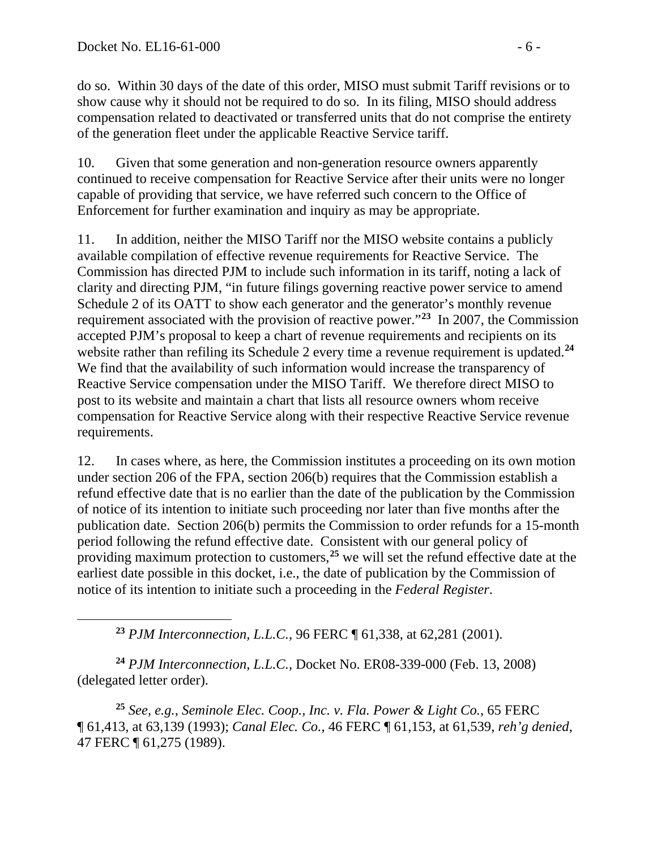<span id="page-5-0"></span> $\overline{a}$ 

do so. Within 30 days of the date of this order, MISO must submit Tariff revisions or to show cause why it should not be required to do so. In its filing, MISO should address compensation related to deactivated or transferred units that do not comprise the entirety of the generation fleet under the applicable Reactive Service tariff.

10. Given that some generation and non-generation resource owners apparently continued to receive compensation for Reactive Service after their units were no longer capable of providing that service, we have referred such concern to the Office of Enforcement for further examination and inquiry as may be appropriate.

11. In addition, neither the MISO Tariff nor the MISO website contains a publicly available compilation of effective revenue requirements for Reactive Service. The Commission has directed PJM to include such information in its tariff, noting a lack of clarity and directing PJM, "in future filings governing reactive power service to amend Schedule 2 of its OATT to show each generator and the generator's monthly revenue requirement associated with the provision of reactive power."**[23](#page-5-0)** In 2007, the Commission accepted PJM's proposal to keep a chart of revenue requirements and recipients on its website rather than refiling its Schedule 2 every time a revenue requirement is updated.<sup>[24](#page-5-1)</sup> We find that the availability of such information would increase the transparency of Reactive Service compensation under the MISO Tariff. We therefore direct MISO to post to its website and maintain a chart that lists all resource owners whom receive compensation for Reactive Service along with their respective Reactive Service revenue requirements.

12. In cases where, as here, the Commission institutes a proceeding on its own motion under section 206 of the FPA, section 206(b) requires that the Commission establish a refund effective date that is no earlier than the date of the publication by the Commission of notice of its intention to initiate such proceeding nor later than five months after the publication date. Section 206(b) permits the Commission to order refunds for a 15-month period following the refund effective date. Consistent with our general policy of providing maximum protection to customers,**[25](#page-5-2)** we will set the refund effective date at the earliest date possible in this docket, i.e., the date of publication by the Commission of notice of its intention to initiate such a proceeding in the *Federal Register*.

**<sup>23</sup>** *PJM Interconnection, L.L.C.*, 96 FERC ¶ 61,338, at 62,281 (2001).

<span id="page-5-1"></span>**<sup>24</sup>** *PJM Interconnection, L.L.C.*, Docket No. ER08-339-000 (Feb. 13, 2008) (delegated letter order).

<span id="page-5-2"></span>**<sup>25</sup>** *See, e.g.*, *Seminole Elec. Coop., Inc. v. Fla. Power & Light Co.*, 65 FERC ¶ 61,413, at 63,139 (1993); *Canal Elec. Co.*, 46 FERC ¶ 61,153, at 61,539, *reh'g denied*, 47 FERC ¶ 61,275 (1989).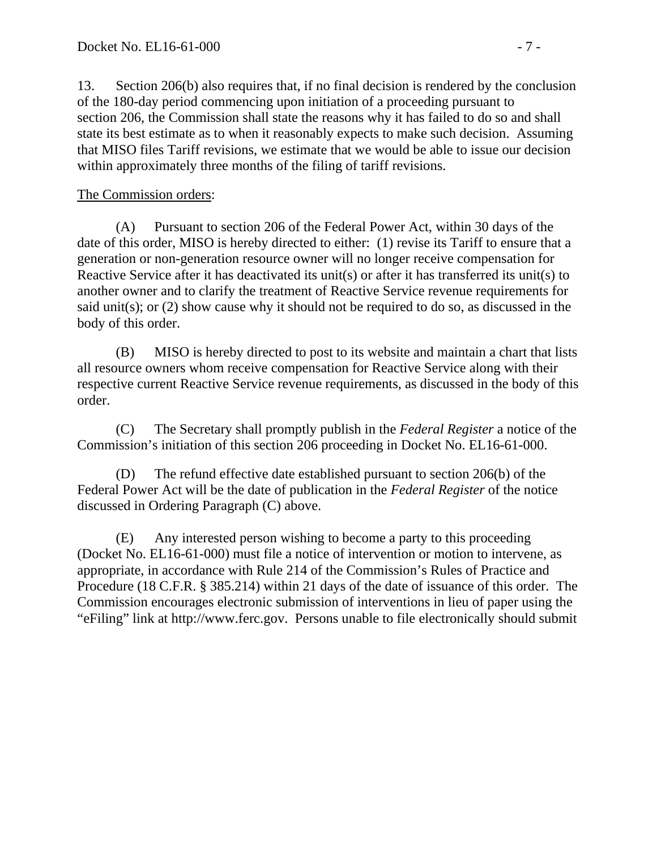13. Section 206(b) also requires that, if no final decision is rendered by the conclusion of the 180-day period commencing upon initiation of a proceeding pursuant to section 206, the Commission shall state the reasons why it has failed to do so and shall state its best estimate as to when it reasonably expects to make such decision. Assuming that MISO files Tariff revisions, we estimate that we would be able to issue our decision within approximately three months of the filing of tariff revisions.

## The Commission orders:

(A) Pursuant to section 206 of the Federal Power Act, within 30 days of the date of this order, MISO is hereby directed to either: (1) revise its Tariff to ensure that a generation or non-generation resource owner will no longer receive compensation for Reactive Service after it has deactivated its unit(s) or after it has transferred its unit(s) to another owner and to clarify the treatment of Reactive Service revenue requirements for said unit(s); or (2) show cause why it should not be required to do so, as discussed in the body of this order.

(B) MISO is hereby directed to post to its website and maintain a chart that lists all resource owners whom receive compensation for Reactive Service along with their respective current Reactive Service revenue requirements, as discussed in the body of this order.

(C) The Secretary shall promptly publish in the *Federal Register* a notice of the Commission's initiation of this section 206 proceeding in Docket No. EL16-61-000.

(D) The refund effective date established pursuant to section 206(b) of the Federal Power Act will be the date of publication in the *Federal Register* of the notice discussed in Ordering Paragraph (C) above.

(E) Any interested person wishing to become a party to this proceeding (Docket No. EL16-61-000) must file a notice of intervention or motion to intervene, as appropriate, in accordance with Rule 214 of the Commission's Rules of Practice and Procedure (18 C.F.R. § 385.214) within 21 days of the date of issuance of this order. The Commission encourages electronic submission of interventions in lieu of paper using the "eFiling" link at http://www.ferc.gov. Persons unable to file electronically should submit